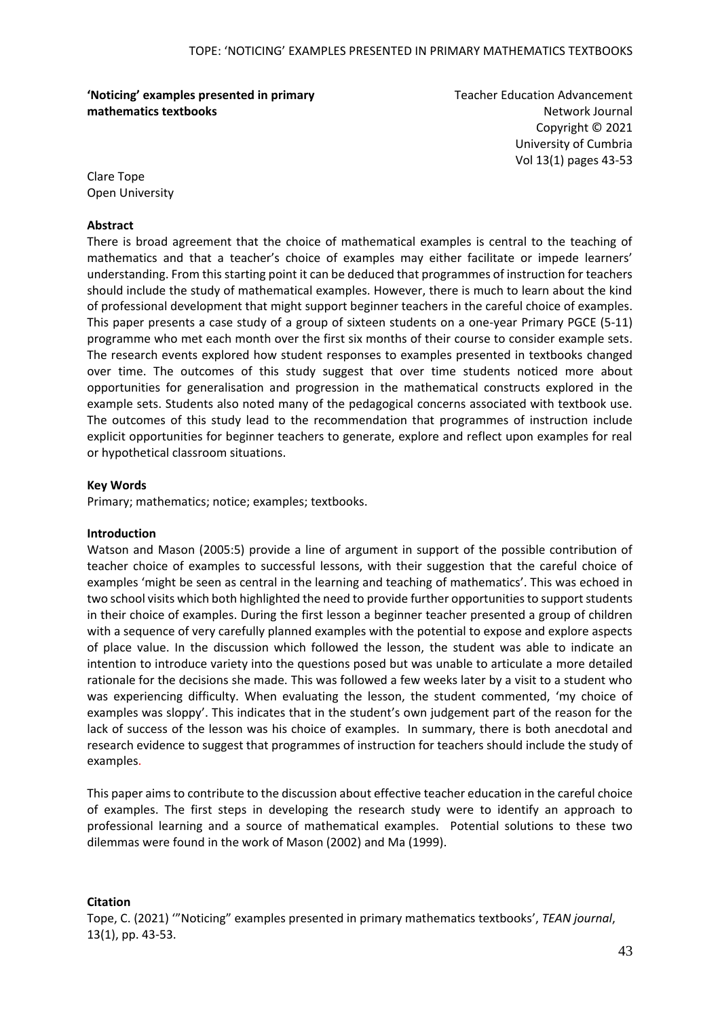**'Noticing' examples presented in primary mathematics textbooks**

Teacher Education Advancement Network Journal Copyright © 2021 University of Cumbria Vol 13(1) pages 43-53

Clare Tope Open University

### **Abstract**

There is broad agreement that the choice of mathematical examples is central to the teaching of mathematics and that a teacher's choice of examples may either facilitate or impede learners' understanding. From this starting point it can be deduced that programmes of instruction for teachers should include the study of mathematical examples. However, there is much to learn about the kind of professional development that might support beginner teachers in the careful choice of examples. This paper presents a case study of a group of sixteen students on a one-year Primary PGCE (5-11) programme who met each month over the first six months of their course to consider example sets. The research events explored how student responses to examples presented in textbooks changed over time. The outcomes of this study suggest that over time students noticed more about opportunities for generalisation and progression in the mathematical constructs explored in the example sets. Students also noted many of the pedagogical concerns associated with textbook use. The outcomes of this study lead to the recommendation that programmes of instruction include explicit opportunities for beginner teachers to generate, explore and reflect upon examples for real or hypothetical classroom situations.

### **Key Words**

Primary; mathematics; notice; examples; textbooks.

### **Introduction**

Watson and Mason (2005:5) provide a line of argument in support of the possible contribution of teacher choice of examples to successful lessons, with their suggestion that the careful choice of examples 'might be seen as central in the learning and teaching of mathematics'. This was echoed in two school visits which both highlighted the need to provide further opportunities to support students in their choice of examples. During the first lesson a beginner teacher presented a group of children with a sequence of very carefully planned examples with the potential to expose and explore aspects of place value. In the discussion which followed the lesson, the student was able to indicate an intention to introduce variety into the questions posed but was unable to articulate a more detailed rationale for the decisions she made. This was followed a few weeks later by a visit to a student who was experiencing difficulty. When evaluating the lesson, the student commented, 'my choice of examples was sloppy'. This indicates that in the student's own judgement part of the reason for the lack of success of the lesson was his choice of examples. In summary, there is both anecdotal and research evidence to suggest that programmes of instruction for teachers should include the study of examples.

This paper aims to contribute to the discussion about effective teacher education in the careful choice of examples. The first steps in developing the research study were to identify an approach to professional learning and a source of mathematical examples. Potential solutions to these two dilemmas were found in the work of Mason (2002) and Ma (1999).

### **Citation**

Tope, C. (2021) '"Noticing" examples presented in primary mathematics textbooks', *TEAN journal*, 13(1), pp. 43-53.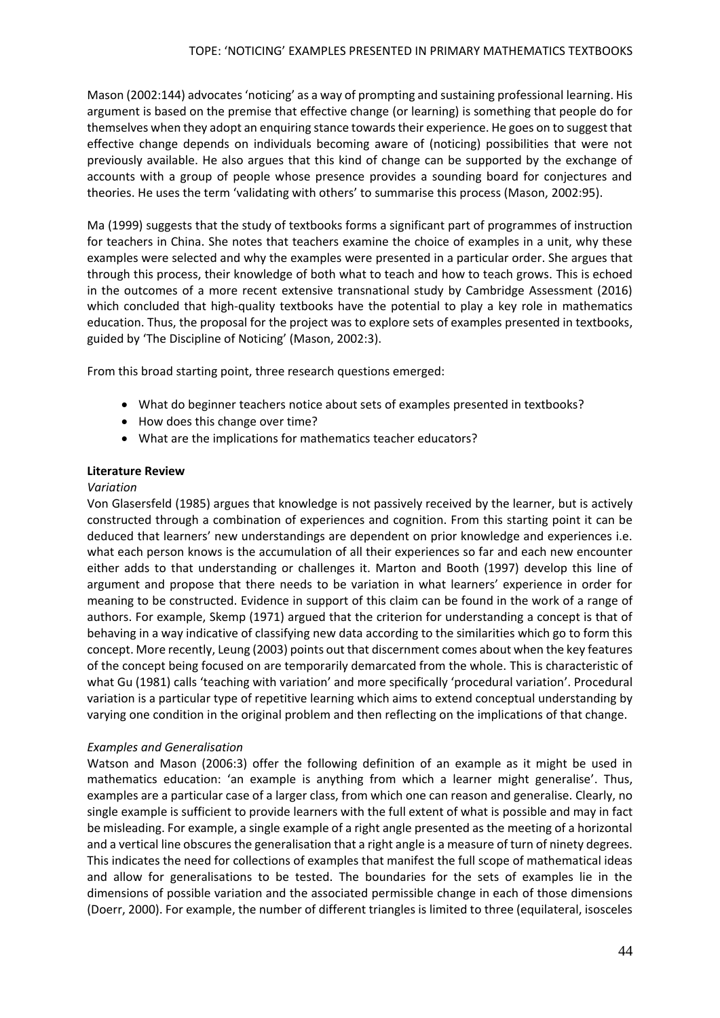Mason (2002:144) advocates 'noticing' as a way of prompting and sustaining professional learning. His argument is based on the premise that effective change (or learning) is something that people do for themselves when they adopt an enquiring stance towards their experience. He goes on to suggest that effective change depends on individuals becoming aware of (noticing) possibilities that were not previously available. He also argues that this kind of change can be supported by the exchange of accounts with a group of people whose presence provides a sounding board for conjectures and theories. He uses the term 'validating with others' to summarise this process (Mason, 2002:95).

Ma (1999) suggests that the study of textbooks forms a significant part of programmes of instruction for teachers in China. She notes that teachers examine the choice of examples in a unit, why these examples were selected and why the examples were presented in a particular order. She argues that through this process, their knowledge of both what to teach and how to teach grows. This is echoed in the outcomes of a more recent extensive transnational study by Cambridge Assessment (2016) which concluded that high-quality textbooks have the potential to play a key role in mathematics education. Thus, the proposal for the project was to explore sets of examples presented in textbooks, guided by 'The Discipline of Noticing' (Mason, 2002:3).

From this broad starting point, three research questions emerged:

- What do beginner teachers notice about sets of examples presented in textbooks?
- How does this change over time?
- What are the implications for mathematics teacher educators?

### **Literature Review**

#### *Variation*

Von Glasersfeld (1985) argues that knowledge is not passively received by the learner, but is actively constructed through a combination of experiences and cognition. From this starting point it can be deduced that learners' new understandings are dependent on prior knowledge and experiences i.e. what each person knows is the accumulation of all their experiences so far and each new encounter either adds to that understanding or challenges it. Marton and Booth (1997) develop this line of argument and propose that there needs to be variation in what learners' experience in order for meaning to be constructed. Evidence in support of this claim can be found in the work of a range of authors. For example, Skemp (1971) argued that the criterion for understanding a concept is that of behaving in a way indicative of classifying new data according to the similarities which go to form this concept. More recently, Leung (2003) points out that discernment comes about when the key features of the concept being focused on are temporarily demarcated from the whole. This is characteristic of what Gu (1981) calls 'teaching with variation' and more specifically 'procedural variation'. Procedural variation is a particular type of repetitive learning which aims to extend conceptual understanding by varying one condition in the original problem and then reflecting on the implications of that change.

### *Examples and Generalisation*

Watson and Mason (2006:3) offer the following definition of an example as it might be used in mathematics education: 'an example is anything from which a learner might generalise'. Thus, examples are a particular case of a larger class, from which one can reason and generalise. Clearly, no single example is sufficient to provide learners with the full extent of what is possible and may in fact be misleading. For example, a single example of a right angle presented as the meeting of a horizontal and a vertical line obscures the generalisation that a right angle is a measure of turn of ninety degrees. This indicates the need for collections of examples that manifest the full scope of mathematical ideas and allow for generalisations to be tested. The boundaries for the sets of examples lie in the dimensions of possible variation and the associated permissible change in each of those dimensions (Doerr, 2000). For example, the number of different triangles is limited to three (equilateral, isosceles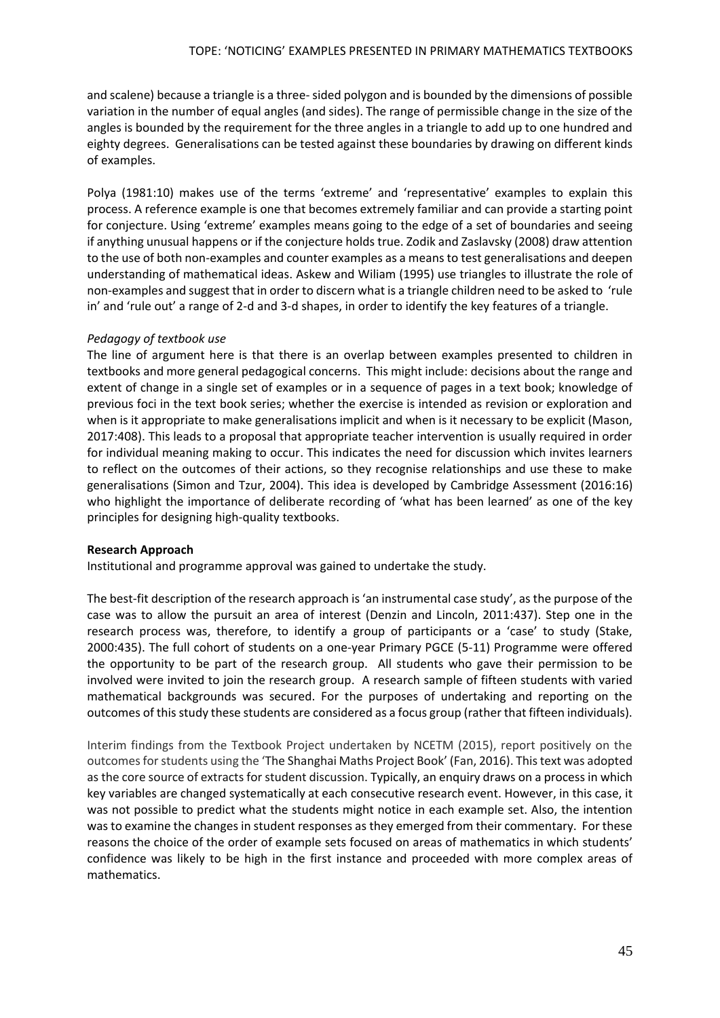and scalene) because a triangle is a three-sided polygon and is bounded by the dimensions of possible variation in the number of equal angles (and sides). The range of permissible change in the size of the angles is bounded by the requirement for the three angles in a triangle to add up to one hundred and eighty degrees. Generalisations can be tested against these boundaries by drawing on different kinds of examples.

Polya (1981:10) makes use of the terms 'extreme' and 'representative' examples to explain this process. A reference example is one that becomes extremely familiar and can provide a starting point for conjecture. Using 'extreme' examples means going to the edge of a set of boundaries and seeing if anything unusual happens or if the conjecture holds true. Zodik and Zaslavsky (2008) draw attention to the use of both non-examples and counter examples as a means to test generalisations and deepen understanding of mathematical ideas. Askew and Wiliam (1995) use triangles to illustrate the role of non-examples and suggest that in order to discern what is a triangle children need to be asked to 'rule in' and 'rule out' a range of 2-d and 3-d shapes, in order to identify the key features of a triangle.

## *Pedagogy of textbook use*

The line of argument here is that there is an overlap between examples presented to children in textbooks and more general pedagogical concerns. This might include: decisions about the range and extent of change in a single set of examples or in a sequence of pages in a text book; knowledge of previous foci in the text book series; whether the exercise is intended as revision or exploration and when is it appropriate to make generalisations implicit and when is it necessary to be explicit (Mason, 2017:408). This leads to a proposal that appropriate teacher intervention is usually required in order for individual meaning making to occur. This indicates the need for discussion which invites learners to reflect on the outcomes of their actions, so they recognise relationships and use these to make generalisations (Simon and Tzur, 2004). This idea is developed by Cambridge Assessment (2016:16) who highlight the importance of deliberate recording of 'what has been learned' as one of the key principles for designing high-quality textbooks.

### **Research Approach**

Institutional and programme approval was gained to undertake the study.

The best-fit description of the research approach is 'an instrumental case study', as the purpose of the case was to allow the pursuit an area of interest (Denzin and Lincoln, 2011:437). Step one in the research process was, therefore, to identify a group of participants or a 'case' to study (Stake, 2000:435). The full cohort of students on a one-year Primary PGCE (5-11) Programme were offered the opportunity to be part of the research group. All students who gave their permission to be involved were invited to join the research group. A research sample of fifteen students with varied mathematical backgrounds was secured. For the purposes of undertaking and reporting on the outcomes of this study these students are considered as a focus group (rather that fifteen individuals).

Interim findings from the Textbook Project undertaken by NCETM (2015), report positively on the outcomes forstudents using the 'The Shanghai Maths Project Book' (Fan, 2016). This text was adopted as the core source of extracts for student discussion. Typically, an enquiry draws on a process in which key variables are changed systematically at each consecutive research event. However, in this case, it was not possible to predict what the students might notice in each example set. Also, the intention was to examine the changes in student responses as they emerged from their commentary. For these reasons the choice of the order of example sets focused on areas of mathematics in which students' confidence was likely to be high in the first instance and proceeded with more complex areas of mathematics.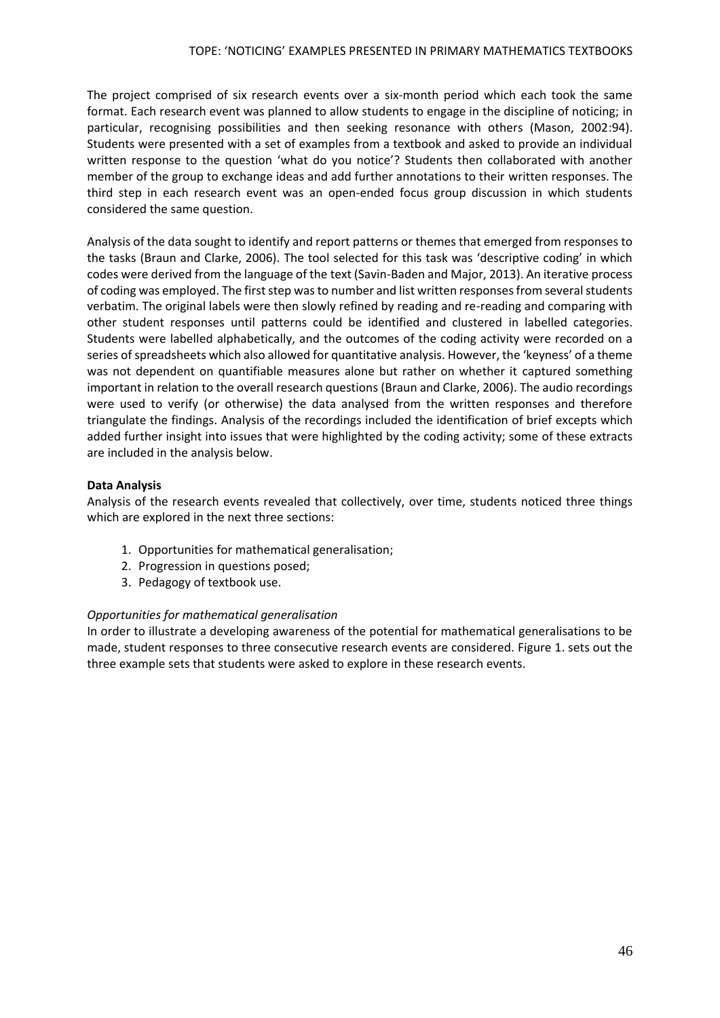The project comprised of six research events over a six-month period which each took the same format. Each research event was planned to allow students to engage in the discipline of noticing; in particular, recognising possibilities and then seeking resonance with others (Mason, 2002:94). Students were presented with a set of examples from a textbook and asked to provide an individual written response to the question 'what do you notice'? Students then collaborated with another member of the group to exchange ideas and add further annotations to their written responses. The third step in each research event was an open-ended focus group discussion in which students considered the same question.

Analysis of the data sought to identify and report patterns or themes that emerged from responses to the tasks (Braun and Clarke, 2006). The tool selected for this task was 'descriptive coding' in which codes were derived from the language of the text (Savin-Baden and Major, 2013). An iterative process of coding was employed. The first step was to number and list written responses from several students verbatim. The original labels were then slowly refined by reading and re-reading and comparing with other student responses until patterns could be identified and clustered in labelled categories. Students were labelled alphabetically, and the outcomes of the coding activity were recorded on a series of spreadsheets which also allowed for quantitative analysis. However, the 'keyness' of a theme was not dependent on quantifiable measures alone but rather on whether it captured something important in relation to the overall research questions (Braun and Clarke, 2006). The audio recordings were used to verify (or otherwise) the data analysed from the written responses and therefore triangulate the findings. Analysis of the recordings included the identification of brief excepts which added further insight into issues that were highlighted by the coding activity; some of these extracts are included in the analysis below.

# **Data Analysis**

Analysis of the research events revealed that collectively, over time, students noticed three things which are explored in the next three sections:

- 1. Opportunities for mathematical generalisation;
- 2. Progression in questions posed;
- 3. Pedagogy of textbook use.

# *Opportunities for mathematical generalisation*

In order to illustrate a developing awareness of the potential for mathematical generalisations to be made, student responses to three consecutive research events are considered. Figure 1. sets out the three example sets that students were asked to explore in these research events.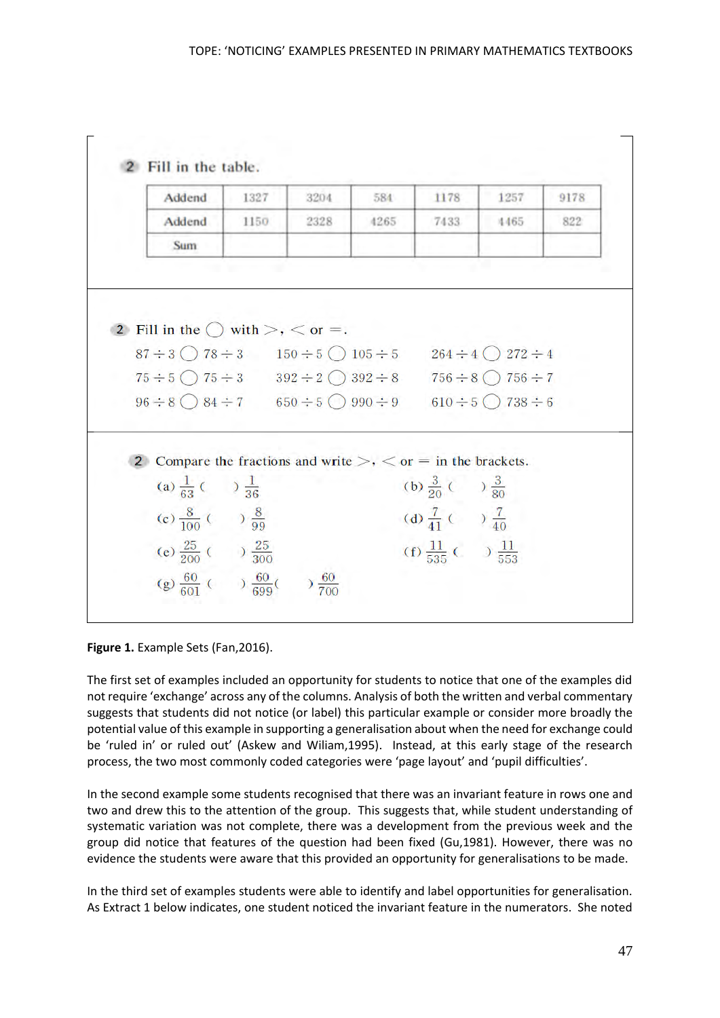

**Figure 1.** Example Sets (Fan,2016).

The first set of examples included an opportunity for students to notice that one of the examples did not require 'exchange' across any of the columns. Analysis of both the written and verbal commentary suggests that students did not notice (or label) this particular example or consider more broadly the potential value of this example in supporting a generalisation about when the need for exchange could be 'ruled in' or ruled out' (Askew and Wiliam,1995). Instead, at this early stage of the research process, the two most commonly coded categories were 'page layout' and 'pupil difficulties'.

In the second example some students recognised that there was an invariant feature in rows one and two and drew this to the attention of the group. This suggests that, while student understanding of systematic variation was not complete, there was a development from the previous week and the group did notice that features of the question had been fixed (Gu,1981). However, there was no evidence the students were aware that this provided an opportunity for generalisations to be made.

In the third set of examples students were able to identify and label opportunities for generalisation. As Extract 1 below indicates, one student noticed the invariant feature in the numerators. She noted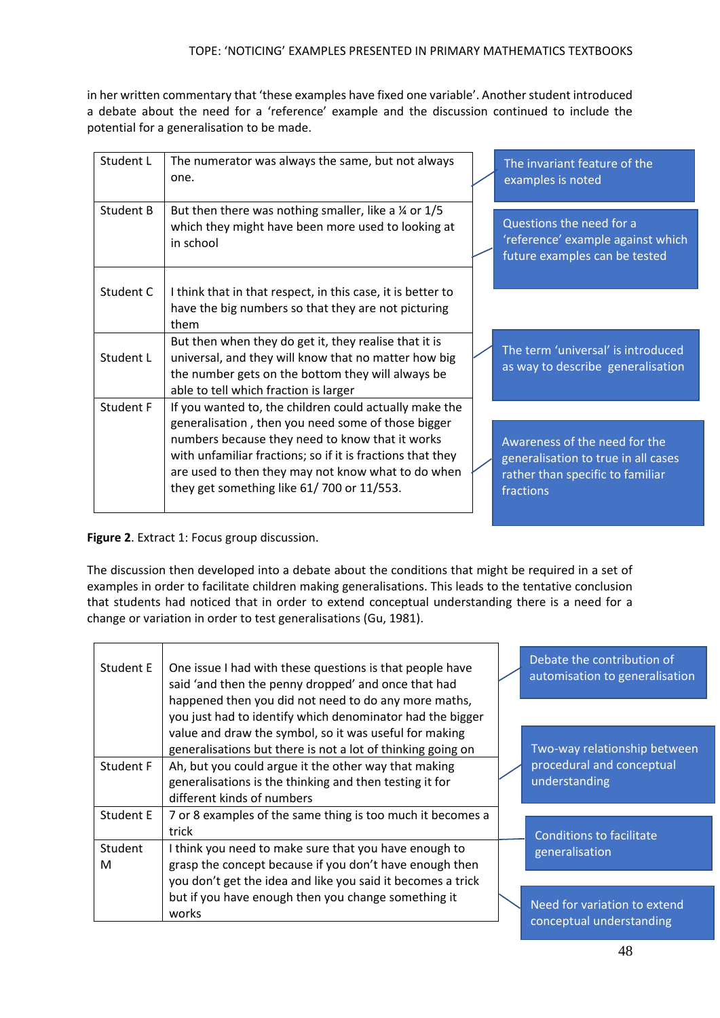in her written commentary that 'these examples have fixed one variable'. Another student introduced a debate about the need for a 'reference' example and the discussion continued to include the potential for a generalisation to be made.

| Student L | The numerator was always the same, but not always<br>one.                                                                                                                                                                                                              | The invariant feature of the<br>examples is noted                                                                     |
|-----------|------------------------------------------------------------------------------------------------------------------------------------------------------------------------------------------------------------------------------------------------------------------------|-----------------------------------------------------------------------------------------------------------------------|
| Student B | But then there was nothing smaller, like a $\frac{1}{5}$ or 1/5<br>which they might have been more used to looking at<br>in school                                                                                                                                     | Questions the need for a<br>'reference' example against which<br>future examples can be tested                        |
| Student C | I think that in that respect, in this case, it is better to<br>have the big numbers so that they are not picturing<br>them                                                                                                                                             |                                                                                                                       |
| Student L | But then when they do get it, they realise that it is<br>universal, and they will know that no matter how big<br>the number gets on the bottom they will always be<br>able to tell which fraction is larger                                                            | The term 'universal' is introduced<br>as way to describe generalisation                                               |
| Student F | If you wanted to, the children could actually make the                                                                                                                                                                                                                 |                                                                                                                       |
|           | generalisation, then you need some of those bigger<br>numbers because they need to know that it works<br>with unfamiliar fractions; so if it is fractions that they<br>are used to then they may not know what to do when<br>they get something like 61/700 or 11/553. | Awareness of the need for the<br>generalisation to true in all cases<br>rather than specific to familiar<br>fractions |

**Figure 2**. Extract 1: Focus group discussion.

The discussion then developed into a debate about the conditions that might be required in a set of examples in order to facilitate children making generalisations. This leads to the tentative conclusion that students had noticed that in order to extend conceptual understanding there is a need for a change or variation in order to test generalisations (Gu, 1981).

| Student E    | One issue I had with these questions is that people have<br>said 'and then the penny dropped' and once that had                               |  | Debate the contribution of<br>automisation to generalisation |
|--------------|-----------------------------------------------------------------------------------------------------------------------------------------------|--|--------------------------------------------------------------|
|              | happened then you did not need to do any more maths,<br>you just had to identify which denominator had the bigger                             |  |                                                              |
|              | value and draw the symbol, so it was useful for making<br>generalisations but there is not a lot of thinking going on                         |  | Two-way relationship between                                 |
| Student F    | Ah, but you could argue it the other way that making<br>generalisations is the thinking and then testing it for<br>different kinds of numbers |  | procedural and conceptual<br>understanding                   |
| Student E    | 7 or 8 examples of the same thing is too much it becomes a<br>trick                                                                           |  | <b>Conditions to facilitate</b>                              |
| Student<br>м | I think you need to make sure that you have enough to<br>grasp the concept because if you don't have enough then                              |  | generalisation                                               |
|              | you don't get the idea and like you said it becomes a trick                                                                                   |  |                                                              |
|              | but if you have enough then you change something it<br>works                                                                                  |  | Need for variation to extend<br>conceptual understanding     |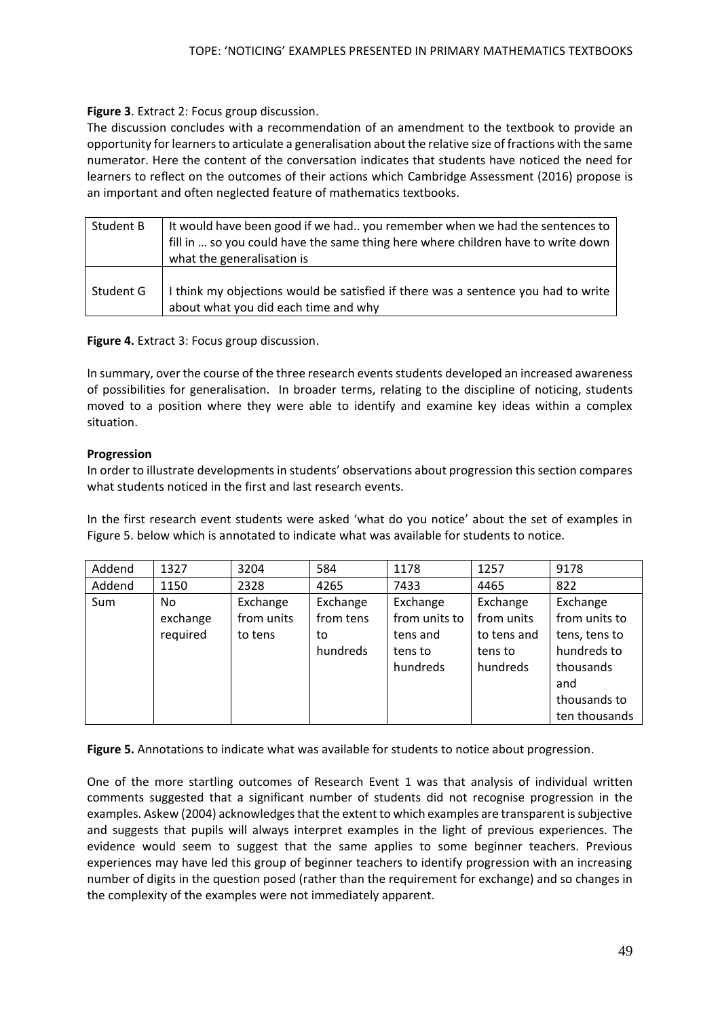## **Figure 3**. Extract 2: Focus group discussion.

The discussion concludes with a recommendation of an amendment to the textbook to provide an opportunity for learnersto articulate a generalisation about the relative size of fractions with the same numerator. Here the content of the conversation indicates that students have noticed the need for learners to reflect on the outcomes of their actions which Cambridge Assessment (2016) propose is an important and often neglected feature of mathematics textbooks.

| Student B | It would have been good if we had you remember when we had the sentences to<br>fill in  so you could have the same thing here where children have to write down<br>what the generalisation is |
|-----------|-----------------------------------------------------------------------------------------------------------------------------------------------------------------------------------------------|
| Student G | I think my objections would be satisfied if there was a sentence you had to write<br>about what you did each time and why                                                                     |

**Figure 4.** Extract 3: Focus group discussion.

In summary, over the course of the three research events students developed an increased awareness of possibilities for generalisation. In broader terms, relating to the discipline of noticing, students moved to a position where they were able to identify and examine key ideas within a complex situation.

## **Progression**

In order to illustrate developments in students' observations about progression this section compares what students noticed in the first and last research events.

In the first research event students were asked 'what do you notice' about the set of examples in Figure 5. below which is annotated to indicate what was available for students to notice.

| Addend | 1327     | 3204       | 584       | 1178          | 1257        | 9178          |
|--------|----------|------------|-----------|---------------|-------------|---------------|
| Addend | 1150     | 2328       | 4265      | 7433          | 4465        | 822           |
| Sum    | No       | Exchange   | Exchange  | Exchange      | Exchange    | Exchange      |
|        | exchange | from units | from tens | from units to | from units  | from units to |
|        | required | to tens    | to        | tens and      | to tens and | tens, tens to |
|        |          |            | hundreds  | tens to       | tens to     | hundreds to   |
|        |          |            |           | hundreds      | hundreds    | thousands     |
|        |          |            |           |               |             | and           |
|        |          |            |           |               |             | thousands to  |
|        |          |            |           |               |             | ten thousands |

**Figure 5.** Annotations to indicate what was available for students to notice about progression.

One of the more startling outcomes of Research Event 1 was that analysis of individual written comments suggested that a significant number of students did not recognise progression in the examples. Askew (2004) acknowledges that the extent to which examples are transparent is subjective and suggests that pupils will always interpret examples in the light of previous experiences. The evidence would seem to suggest that the same applies to some beginner teachers. Previous experiences may have led this group of beginner teachers to identify progression with an increasing number of digits in the question posed (rather than the requirement for exchange) and so changes in the complexity of the examples were not immediately apparent.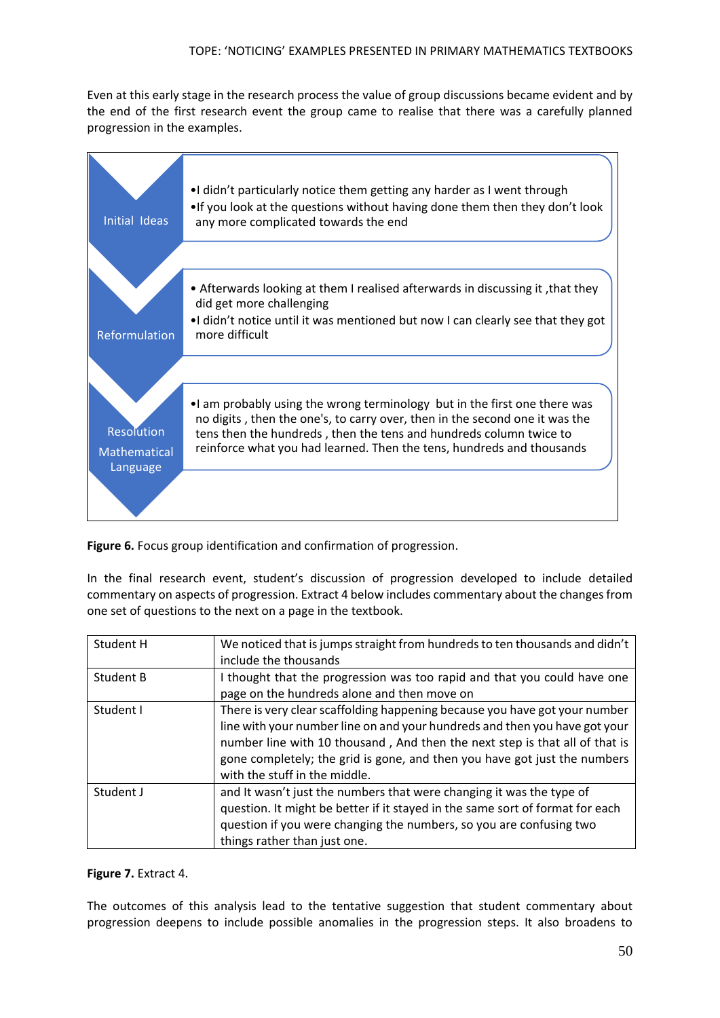Even at this early stage in the research process the value of group discussions became evident and by the end of the first research event the group came to realise that there was a carefully planned progression in the examples.

| Initial Ideas                                        | •I didn't particularly notice them getting any harder as I went through<br>• If you look at the questions without having done them then they don't look<br>any more complicated towards the end                                                                                                          |
|------------------------------------------------------|----------------------------------------------------------------------------------------------------------------------------------------------------------------------------------------------------------------------------------------------------------------------------------------------------------|
| Reformulation                                        | • Afterwards looking at them I realised afterwards in discussing it, that they<br>did get more challenging<br>•I didn't notice until it was mentioned but now I can clearly see that they got<br>more difficult                                                                                          |
| <b>Resolution</b><br><b>Mathematical</b><br>Language | . I am probably using the wrong terminology but in the first one there was<br>no digits, then the one's, to carry over, then in the second one it was the<br>tens then the hundreds, then the tens and hundreds column twice to<br>reinforce what you had learned. Then the tens, hundreds and thousands |

**Figure 6.** Focus group identification and confirmation of progression.

In the final research event, student's discussion of progression developed to include detailed commentary on aspects of progression. Extract 4 below includes commentary about the changes from one set of questions to the next on a page in the textbook.

| Student H | We noticed that is jumps straight from hundreds to ten thousands and didn't<br>include the thousands                                                                                                                                                                                                                                                  |
|-----------|-------------------------------------------------------------------------------------------------------------------------------------------------------------------------------------------------------------------------------------------------------------------------------------------------------------------------------------------------------|
| Student B | I thought that the progression was too rapid and that you could have one<br>page on the hundreds alone and then move on                                                                                                                                                                                                                               |
| Student I | There is very clear scaffolding happening because you have got your number<br>line with your number line on and your hundreds and then you have got your<br>number line with 10 thousand, And then the next step is that all of that is<br>gone completely; the grid is gone, and then you have got just the numbers<br>with the stuff in the middle. |
| Student J | and It wasn't just the numbers that were changing it was the type of<br>question. It might be better if it stayed in the same sort of format for each<br>question if you were changing the numbers, so you are confusing two<br>things rather than just one.                                                                                          |

**Figure 7.** Extract 4.

The outcomes of this analysis lead to the tentative suggestion that student commentary about progression deepens to include possible anomalies in the progression steps. It also broadens to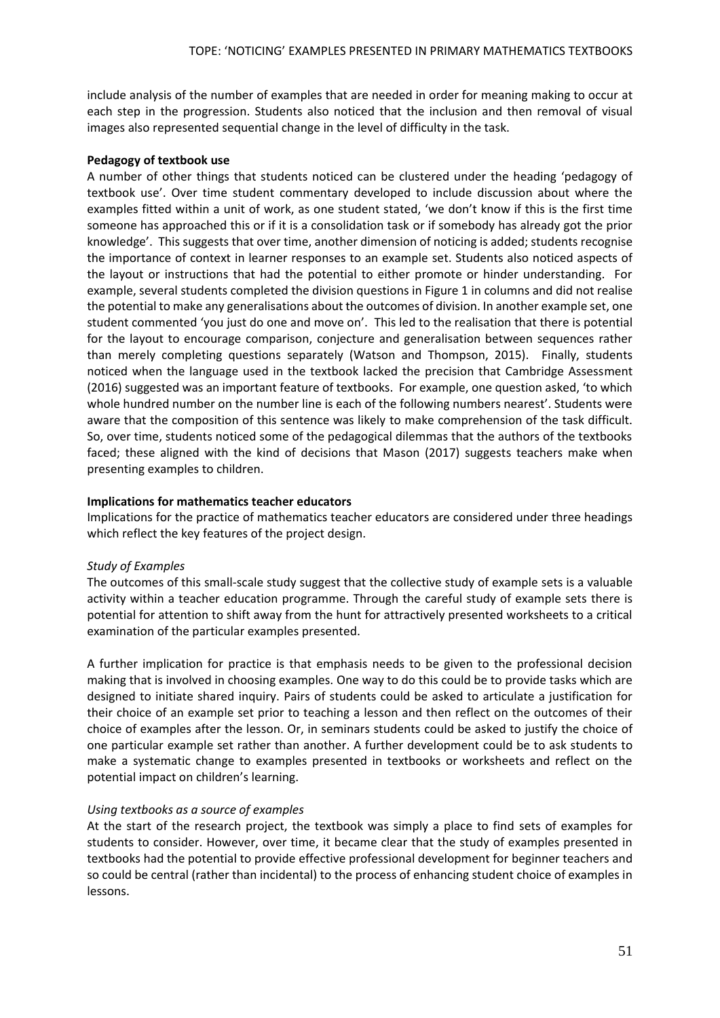include analysis of the number of examples that are needed in order for meaning making to occur at each step in the progression. Students also noticed that the inclusion and then removal of visual images also represented sequential change in the level of difficulty in the task.

## **Pedagogy of textbook use**

A number of other things that students noticed can be clustered under the heading 'pedagogy of textbook use'. Over time student commentary developed to include discussion about where the examples fitted within a unit of work, as one student stated, 'we don't know if this is the first time someone has approached this or if it is a consolidation task or if somebody has already got the prior knowledge'. This suggests that over time, another dimension of noticing is added; students recognise the importance of context in learner responses to an example set. Students also noticed aspects of the layout or instructions that had the potential to either promote or hinder understanding. For example, several students completed the division questions in Figure 1 in columns and did not realise the potential to make any generalisations about the outcomes of division. In another example set, one student commented 'you just do one and move on'. This led to the realisation that there is potential for the layout to encourage comparison, conjecture and generalisation between sequences rather than merely completing questions separately (Watson and Thompson, 2015). Finally, students noticed when the language used in the textbook lacked the precision that Cambridge Assessment (2016) suggested was an important feature of textbooks. For example, one question asked, 'to which whole hundred number on the number line is each of the following numbers nearest'. Students were aware that the composition of this sentence was likely to make comprehension of the task difficult. So, over time, students noticed some of the pedagogical dilemmas that the authors of the textbooks faced; these aligned with the kind of decisions that Mason (2017) suggests teachers make when presenting examples to children.

## **Implications for mathematics teacher educators**

Implications for the practice of mathematics teacher educators are considered under three headings which reflect the key features of the project design.

### *Study of Examples*

The outcomes of this small-scale study suggest that the collective study of example sets is a valuable activity within a teacher education programme. Through the careful study of example sets there is potential for attention to shift away from the hunt for attractively presented worksheets to a critical examination of the particular examples presented.

A further implication for practice is that emphasis needs to be given to the professional decision making that is involved in choosing examples. One way to do this could be to provide tasks which are designed to initiate shared inquiry. Pairs of students could be asked to articulate a justification for their choice of an example set prior to teaching a lesson and then reflect on the outcomes of their choice of examples after the lesson. Or, in seminars students could be asked to justify the choice of one particular example set rather than another. A further development could be to ask students to make a systematic change to examples presented in textbooks or worksheets and reflect on the potential impact on children's learning.

# *Using textbooks as a source of examples*

At the start of the research project, the textbook was simply a place to find sets of examples for students to consider. However, over time, it became clear that the study of examples presented in textbooks had the potential to provide effective professional development for beginner teachers and so could be central (rather than incidental) to the process of enhancing student choice of examples in lessons.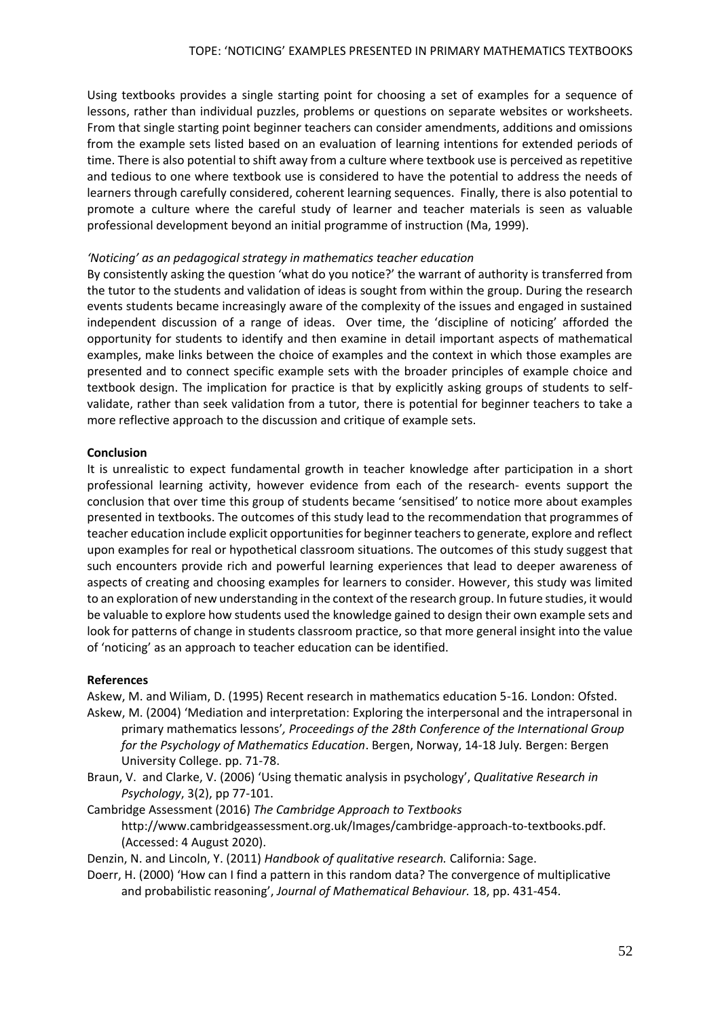Using textbooks provides a single starting point for choosing a set of examples for a sequence of lessons, rather than individual puzzles, problems or questions on separate websites or worksheets. From that single starting point beginner teachers can consider amendments, additions and omissions from the example sets listed based on an evaluation of learning intentions for extended periods of time. There is also potential to shift away from a culture where textbook use is perceived as repetitive and tedious to one where textbook use is considered to have the potential to address the needs of learners through carefully considered, coherent learning sequences. Finally, there is also potential to promote a culture where the careful study of learner and teacher materials is seen as valuable professional development beyond an initial programme of instruction (Ma, 1999).

### *'Noticing' as an pedagogical strategy in mathematics teacher education*

By consistently asking the question 'what do you notice?' the warrant of authority is transferred from the tutor to the students and validation of ideas is sought from within the group. During the research events students became increasingly aware of the complexity of the issues and engaged in sustained independent discussion of a range of ideas. Over time, the 'discipline of noticing' afforded the opportunity for students to identify and then examine in detail important aspects of mathematical examples, make links between the choice of examples and the context in which those examples are presented and to connect specific example sets with the broader principles of example choice and textbook design. The implication for practice is that by explicitly asking groups of students to selfvalidate, rather than seek validation from a tutor, there is potential for beginner teachers to take a more reflective approach to the discussion and critique of example sets.

### **Conclusion**

It is unrealistic to expect fundamental growth in teacher knowledge after participation in a short professional learning activity, however evidence from each of the research- events support the conclusion that over time this group of students became 'sensitised' to notice more about examples presented in textbooks. The outcomes of this study lead to the recommendation that programmes of teacher education include explicit opportunities for beginner teachers to generate, explore and reflect upon examples for real or hypothetical classroom situations. The outcomes of this study suggest that such encounters provide rich and powerful learning experiences that lead to deeper awareness of aspects of creating and choosing examples for learners to consider. However, this study was limited to an exploration of new understanding in the context of the research group. In future studies, it would be valuable to explore how students used the knowledge gained to design their own example sets and look for patterns of change in students classroom practice, so that more general insight into the value of 'noticing' as an approach to teacher education can be identified.

#### **References**

Askew, M. and Wiliam, D. (1995) Recent research in mathematics education 5-16. London: Ofsted. Askew, M. (2004) 'Mediation and interpretation: Exploring the interpersonal and the intrapersonal in

- primary mathematics lessons'*, Proceedings of the 28th Conference of the International Group for the Psychology of Mathematics Education*. Bergen, Norway, 14-18 July*.* Bergen: Bergen University College. pp. 71-78.
- Braun, V. and Clarke, V. (2006) 'Using thematic analysis in psychology', *Qualitative Research in Psychology*, 3(2), pp 77-101.
- Cambridge Assessment (2016) *The Cambridge Approach to Textbooks* [http://www.cambridgeassessment.org.uk/Images/cambridge-approach-to-textbooks.pdf.](http://www.cambridgeassessment.org.uk/Images/cambridge-approach-to-textbooks.pdf) (Accessed: 4 August 2020).

Denzin, N. and Lincoln, Y. (2011) *Handbook of qualitative research.* California: Sage.

Doerr, H. (2000) 'How can I find a pattern in this random data? The convergence of multiplicative and probabilistic reasoning', *Journal of Mathematical Behaviour.* 18, pp. 431-454.